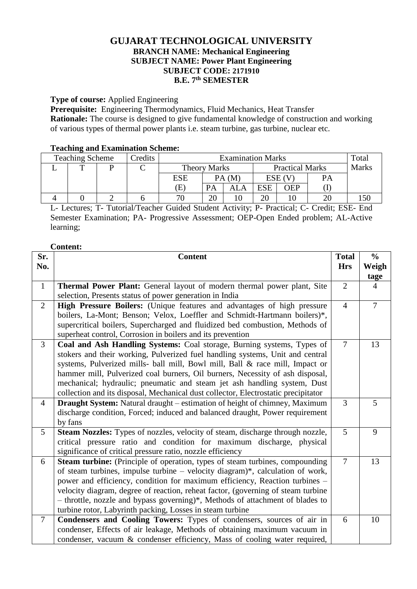# **GUJARAT TECHNOLOGICAL UNIVERSITY BRANCH NAME: Mechanical Engineering SUBJECT NAME: Power Plant Engineering SUBJECT CODE: 2171910 B.E. 7 th SEMESTER**

## **Type of course:** Applied Engineering

**Prerequisite:** Engineering Thermodynamics, Fluid Mechanics, Heat Transfer **Rationale:** The course is designed to give fundamental knowledge of construction and working of various types of thermal power plants i.e. steam turbine, gas turbine, nuclear etc.

## **Teaching and Examination Scheme:**

| <b>Teaching Scheme</b> |   |  | Credits | <b>Examination Marks</b>   |           |                        |            | Total |              |  |
|------------------------|---|--|---------|----------------------------|-----------|------------------------|------------|-------|--------------|--|
|                        | m |  |         | <b>Theory Marks</b>        |           | <b>Practical Marks</b> |            |       | <b>Marks</b> |  |
|                        |   |  |         | <b>ESE</b>                 | PA(M)     |                        | ESE (V     |       | PA           |  |
|                        |   |  |         | $\left( \mathrm{E}\right)$ | <b>PA</b> | ALA                    | <b>ESE</b> | ЭEP   |              |  |
|                        |   |  |         | 70                         | ററ        |                        | 20         |       |              |  |

L- Lectures; T- Tutorial/Teacher Guided Student Activity; P- Practical; C- Credit; ESE- End Semester Examination; PA- Progressive Assessment; OEP-Open Ended problem; AL-Active learning;

#### **Content:**

| Sr.            | <b>Content</b>                                                                     | <b>Total</b>   | $\frac{0}{0}$  |
|----------------|------------------------------------------------------------------------------------|----------------|----------------|
| No.            |                                                                                    | <b>Hrs</b>     | Weigh          |
|                |                                                                                    |                | tage           |
| $\mathbf{1}$   | Thermal Power Plant: General layout of modern thermal power plant, Site            | $\overline{2}$ | $\overline{4}$ |
|                | selection, Presents status of power generation in India                            |                |                |
| $\overline{2}$ | High Pressure Boilers: (Unique features and advantages of high pressure            | $\overline{4}$ | $\overline{7}$ |
|                | boilers, La-Mont; Benson; Velox, Loeffler and Schmidt-Hartmann boilers)*,          |                |                |
|                | supercritical boilers, Supercharged and fluidized bed combustion, Methods of       |                |                |
|                | superheat control, Corrosion in boilers and its prevention                         |                |                |
| $\overline{3}$ | Coal and Ash Handling Systems: Coal storage, Burning systems, Types of             | $\overline{7}$ | 13             |
|                | stokers and their working, Pulverized fuel handling systems, Unit and central      |                |                |
|                | systems, Pulverized mills- ball mill, Bowl mill, Ball & race mill, Impact or       |                |                |
|                | hammer mill, Pulverized coal burners, Oil burners, Necessity of ash disposal,      |                |                |
|                | mechanical; hydraulic; pneumatic and steam jet ash handling system, Dust           |                |                |
|                | collection and its disposal, Mechanical dust collector, Electrostatic precipitator |                |                |
| $\overline{4}$ | <b>Draught System:</b> Natural draught – estimation of height of chimney, Maximum  | 3              | 5              |
|                | discharge condition, Forced; induced and balanced draught, Power requirement       |                |                |
|                | by fans                                                                            |                |                |
| 5              | Steam Nozzles: Types of nozzles, velocity of steam, discharge through nozzle,      | $\overline{5}$ | 9              |
|                | critical pressure ratio and condition for maximum discharge, physical              |                |                |
|                | significance of critical pressure ratio, nozzle efficiency                         |                |                |
| 6              | Steam turbine: (Principle of operation, types of steam turbines, compounding       | $\tau$         | 13             |
|                | of steam turbines, impulse turbine - velocity diagram)*, calculation of work,      |                |                |
|                | power and efficiency, condition for maximum efficiency, Reaction turbines -        |                |                |
|                | velocity diagram, degree of reaction, reheat factor, (governing of steam turbine   |                |                |
|                | - throttle, nozzle and bypass governing)*, Methods of attachment of blades to      |                |                |
|                | turbine rotor, Labyrinth packing, Losses in steam turbine                          |                |                |
| $\overline{7}$ | Condensers and Cooling Towers: Types of condensers, sources of air in              | 6              | 10             |
|                | condenser, Effects of air leakage, Methods of obtaining maximum vacuum in          |                |                |
|                | condenser, vacuum & condenser efficiency, Mass of cooling water required,          |                |                |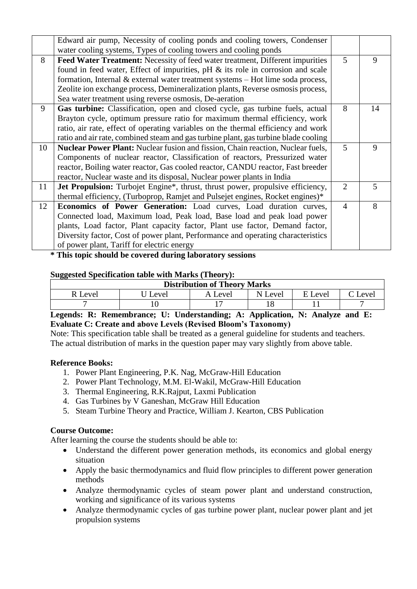|    | Edward air pump, Necessity of cooling ponds and cooling towers, Condenser<br>water cooling systems, Types of cooling towers and cooling ponds |                |    |
|----|-----------------------------------------------------------------------------------------------------------------------------------------------|----------------|----|
| 8  | <b>Feed Water Treatment:</b> Necessity of feed water treatment, Different impurities                                                          | 5              | 9  |
|    | found in feed water, Effect of impurities, $pH \&$ its role in corrosion and scale                                                            |                |    |
|    | formation, Internal & external water treatment systems – Hot lime soda process,                                                               |                |    |
|    | Zeolite ion exchange process, Demineralization plants, Reverse osmosis process,                                                               |                |    |
|    | Sea water treatment using reverse osmosis, De-aeration                                                                                        |                |    |
| 9  | Gas turbine: Classification, open and closed cycle, gas turbine fuels, actual                                                                 | 8              | 14 |
|    | Brayton cycle, optimum pressure ratio for maximum thermal efficiency, work                                                                    |                |    |
|    | ratio, air rate, effect of operating variables on the thermal efficiency and work                                                             |                |    |
|    | ratio and air rate, combined steam and gas turbine plant, gas turbine blade cooling                                                           |                |    |
| 10 | <b>Nuclear Power Plant:</b> Nuclear fusion and fission, Chain reaction, Nuclear fuels,                                                        | 5              | 9  |
|    | Components of nuclear reactor, Classification of reactors, Pressurized water                                                                  |                |    |
|    | reactor, Boiling water reactor, Gas cooled reactor, CANDU reactor, Fast breeder                                                               |                |    |
|    | reactor, Nuclear waste and its disposal, Nuclear power plants in India                                                                        |                |    |
| 11 | <b>Jet Propulsion:</b> Turbojet Engine*, thrust, thrust power, propulsive efficiency,                                                         | $\overline{2}$ | 5  |
|    | thermal efficiency, (Turboprop, Ramjet and Pulsejet engines, Rocket engines)*                                                                 |                |    |
| 12 | <b>Economics of Power Generation:</b> Load curves, Load duration curves,                                                                      | $\overline{4}$ | 8  |
|    | Connected load, Maximum load, Peak load, Base load and peak load power                                                                        |                |    |
|    | plants, Load factor, Plant capacity factor, Plant use factor, Demand factor,                                                                  |                |    |
|    | Diversity factor, Cost of power plant, Performance and operating characteristics                                                              |                |    |
|    | of power plant, Tariff for electric energy                                                                                                    |                |    |

**\* This topic should be covered during laboratory sessions**

## **Suggested Specification table with Marks (Theory):**

| <b>Distribution of Theory Marks</b> |       |         |         |         |                     |  |  |  |
|-------------------------------------|-------|---------|---------|---------|---------------------|--|--|--|
| R Level                             | Level | A Level | N Level | E Level | $\mathcal{C}$ Level |  |  |  |
|                                     |       |         |         |         |                     |  |  |  |

# **Legends: R: Remembrance; U: Understanding; A: Application, N: Analyze and E: Evaluate C: Create and above Levels (Revised Bloom's Taxonomy)**

Note: This specification table shall be treated as a general guideline for students and teachers. The actual distribution of marks in the question paper may vary slightly from above table.

#### **Reference Books:**

- 1. Power Plant Engineering, P.K. Nag, McGraw-Hill Education
- 2. Power Plant Technology, M.M. El-Wakil, McGraw-Hill Education
- 3. Thermal Engineering, R.K.Rajput, Laxmi Publication
- 4. Gas Turbines by V Ganeshan, McGraw Hill Education
- 5. Steam Turbine Theory and Practice, [William J. Kearton,](http://www.amazon.com/s/ref=dp_byline_sr_book_1?ie=UTF8&text=William+J.+Kearton&search-alias=books&field-author=William+J.+Kearton&sort=relevancerank) CBS Publication

# **Course Outcome:**

After learning the course the students should be able to:

- Understand the different power generation methods, its economics and global energy situation
- Apply the basic thermodynamics and fluid flow principles to different power generation methods
- Analyze thermodynamic cycles of steam power plant and understand construction, working and significance of its various systems
- Analyze thermodynamic cycles of gas turbine power plant, nuclear power plant and jet propulsion systems